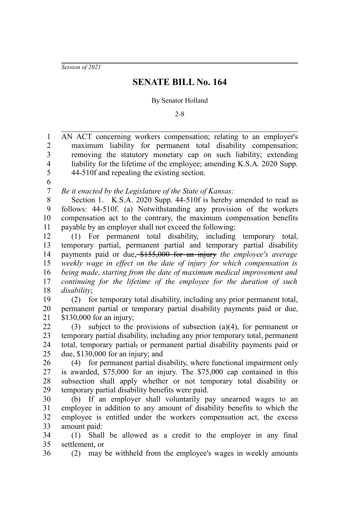*Session of 2021*

## **SENATE BILL No. 164**

## By Senator Holland

2-8

AN ACT concerning workers compensation; relating to an employer's maximum liability for permanent total disability compensation; removing the statutory monetary cap on such liability; extending liability for the lifetime of the employee; amending K.S.A. 2020 Supp. 44-510f and repealing the existing section. *Be it enacted by the Legislature of the State of Kansas:* Section 1. K.S.A. 2020 Supp. 44-510f is hereby amended to read as follows: 44-510f. (a) Notwithstanding any provision of the workers compensation act to the contrary, the maximum compensation benefits payable by an employer shall not exceed the following: (1) For permanent total disability, including temporary total, temporary partial, permanent partial and temporary partial disability payments paid or due, \$155,000 for an injury *the employee's average weekly wage in effect on the date of injury for which compensation is being made, starting from the date of maximum medical improvement and continuing for the lifetime of the employee for the duration of such disability*; (2) for temporary total disability, including any prior permanent total, permanent partial or temporary partial disability payments paid or due, \$130,000 for an injury; (3) subject to the provisions of subsection (a)(4), for permanent or temporary partial disability, including any prior temporary total, permanent total, temporary partial, or permanent partial disability payments paid or due, \$130,000 for an injury; and (4) for permanent partial disability, where functional impairment only is awarded, \$75,000 for an injury. The \$75,000 cap contained in this subsection shall apply whether or not temporary total disability or temporary partial disability benefits were paid. (b) If an employer shall voluntarily pay unearned wages to an employee in addition to any amount of disability benefits to which the employee is entitled under the workers compensation act, the excess amount paid: (1) Shall be allowed as a credit to the employer in any final settlement, or (2) may be withheld from the employee's wages in weekly amounts 1 2 3 4 5 6 7 8 9 10 11 12 13 14 15 16 17 18 19 20 21 22 23  $24$ 25 26 27 28 29 30 31 32 33 34 35 36